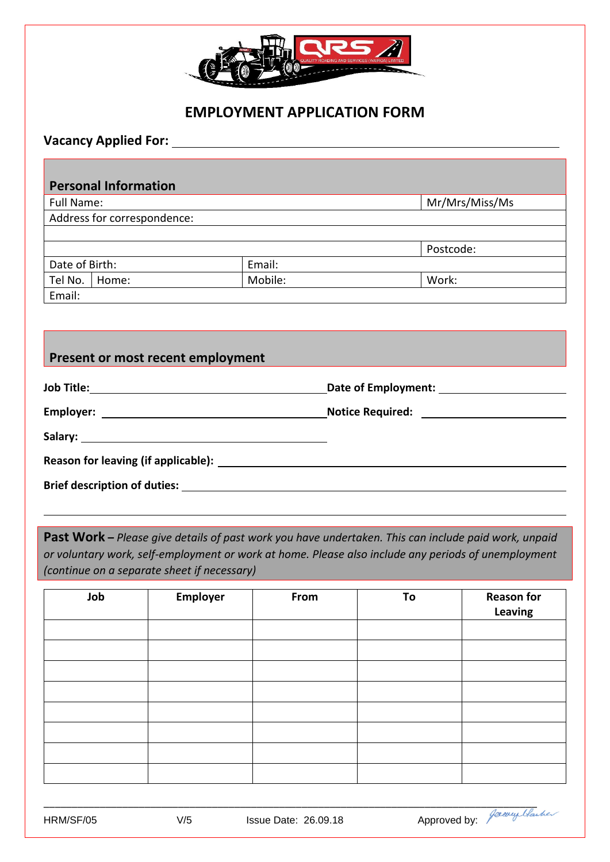

# **EMPLOYMENT APPLICATION FORM**

### **Vacancy Applied For:**

## **Personal Information**

| Full Name:                  |               | Mr/Mrs/Miss/Ms |
|-----------------------------|---------------|----------------|
| Address for correspondence: |               |                |
|                             |               |                |
|                             |               | Postcode:      |
| .                           | $\sim$ $\sim$ |                |

| Date of Birth: |       | Email:  |       |
|----------------|-------|---------|-------|
| Tel No.        | Home: | Mobile: | Work: |
| Email:         |       |         |       |

# **Present or most recent employment**

| Reason for leaving (if applicable): Notice that the set of the set of the set of the set of the set of the set of the set of the set of the set of the set of the set of the set of the set of the set of the set of the set o |  |
|--------------------------------------------------------------------------------------------------------------------------------------------------------------------------------------------------------------------------------|--|
| <b>Brief description of duties: We are also considered by a state of the constant of the constant of the constant of the constant of the constant of duties:</b>                                                               |  |

**Past Work –** *Please give details of past work you have undertaken. This can include paid work, unpaid or voluntary work, self-employment or work at home. Please also include any periods of unemployment (continue on a separate sheet if necessary)* 

| Job | Employer | From | To | <b>Reason for</b><br>Leaving |
|-----|----------|------|----|------------------------------|
|     |          |      |    |                              |
|     |          |      |    |                              |
|     |          |      |    |                              |
|     |          |      |    |                              |
|     |          |      |    |                              |
|     |          |      |    |                              |
|     |          |      |    |                              |
|     |          |      |    |                              |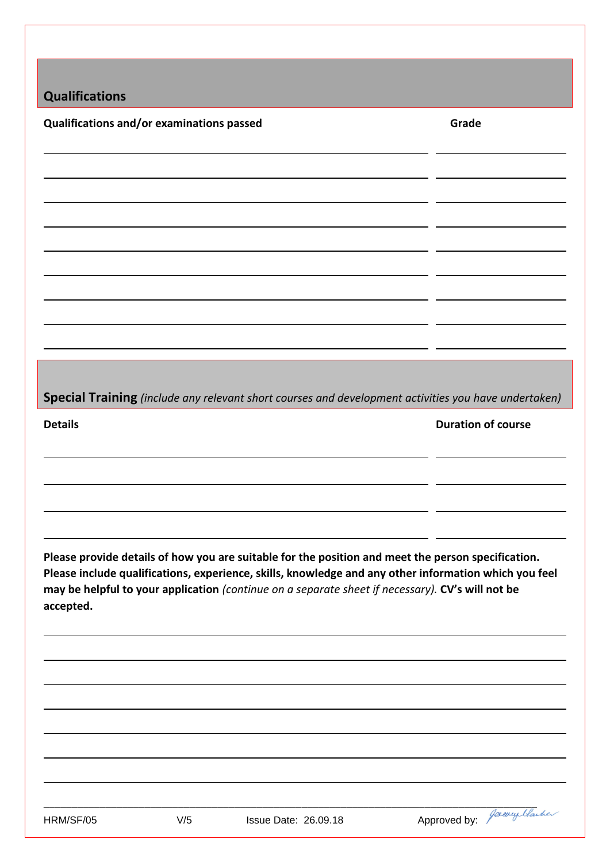|  | <b>Qualifications</b> |
|--|-----------------------|
|  |                       |

**Qualifications and/or examinations passed <b>Grade Grade Grade** 

**Special Training** *(include any relevant short courses and development activities you have undertaken)*

**Details Duration of course**

**Please provide details of how you are suitable for the position and meet the person specification. Please include qualifications, experience, skills, knowledge and any other information which you feel may be helpful to your application** *(continue on a separate sheet if necessary).* **CV's will not be accepted.**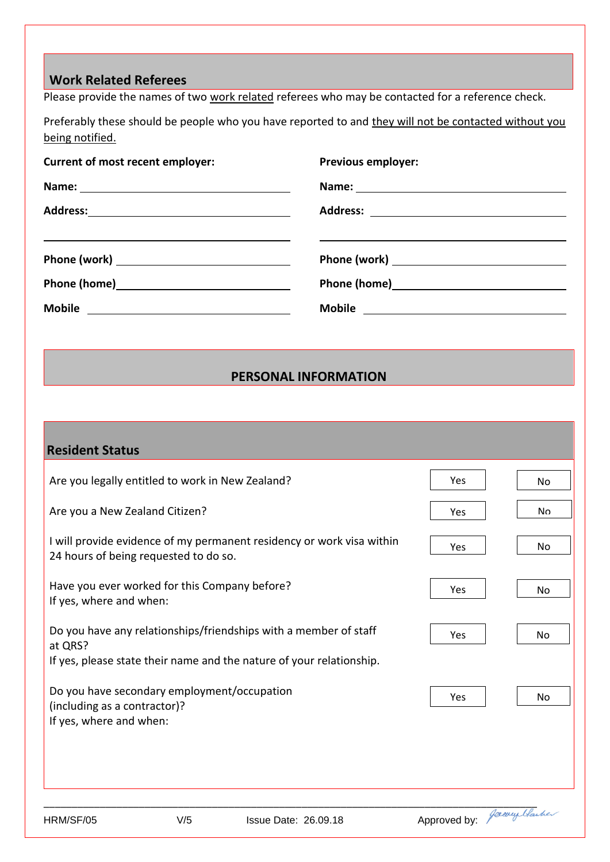## **Work Related Referees**

Please provide the names of two work related referees who may be contacted for a reference check.

Preferably these should be people who you have reported to and they will not be contacted without you being notified.

| Current of most recent employer:                                                                                                                                                                                                     | <b>Previous employer:</b>                                                                                                                                                                                                      |
|--------------------------------------------------------------------------------------------------------------------------------------------------------------------------------------------------------------------------------------|--------------------------------------------------------------------------------------------------------------------------------------------------------------------------------------------------------------------------------|
|                                                                                                                                                                                                                                      | Name: Name and All Property and All Property and All Property and All Property and All Property and All Property and All Property and All Property and All Property and All Property and All Property and All Property and All |
|                                                                                                                                                                                                                                      |                                                                                                                                                                                                                                |
| <u>and the contract of the contract of the contract of the contract of the contract of the contract of the contract of the contract of the contract of the contract of the contract of the contract of the contract of the contr</u> |                                                                                                                                                                                                                                |
| Phone (work) Phone (work)                                                                                                                                                                                                            |                                                                                                                                                                                                                                |
|                                                                                                                                                                                                                                      |                                                                                                                                                                                                                                |
|                                                                                                                                                                                                                                      |                                                                                                                                                                                                                                |

## **PERSONAL INFORMATION**

| <b>Resident Status</b>                                                      |     |                                                                       |                            |           |
|-----------------------------------------------------------------------------|-----|-----------------------------------------------------------------------|----------------------------|-----------|
| Are you legally entitled to work in New Zealand?                            |     |                                                                       | Yes                        | <b>No</b> |
| Are you a New Zealand Citizen?                                              |     |                                                                       | Yes                        | No        |
| 24 hours of being requested to do so.                                       |     | I will provide evidence of my permanent residency or work visa within | Yes                        | No        |
| Have you ever worked for this Company before?<br>If yes, where and when:    |     |                                                                       | Yes                        | <b>No</b> |
| at QRS?                                                                     |     | Do you have any relationships/friendships with a member of staff      | Yes                        | <b>No</b> |
| Do you have secondary employment/occupation<br>(including as a contractor)? |     | If yes, please state their name and the nature of your relationship.  | Yes                        | No        |
| If yes, where and when:                                                     |     |                                                                       |                            |           |
|                                                                             |     |                                                                       |                            |           |
| HRM/SF/05                                                                   | V/5 | <b>Issue Date: 26.09.18</b>                                           | Approved by: Paraugulacher |           |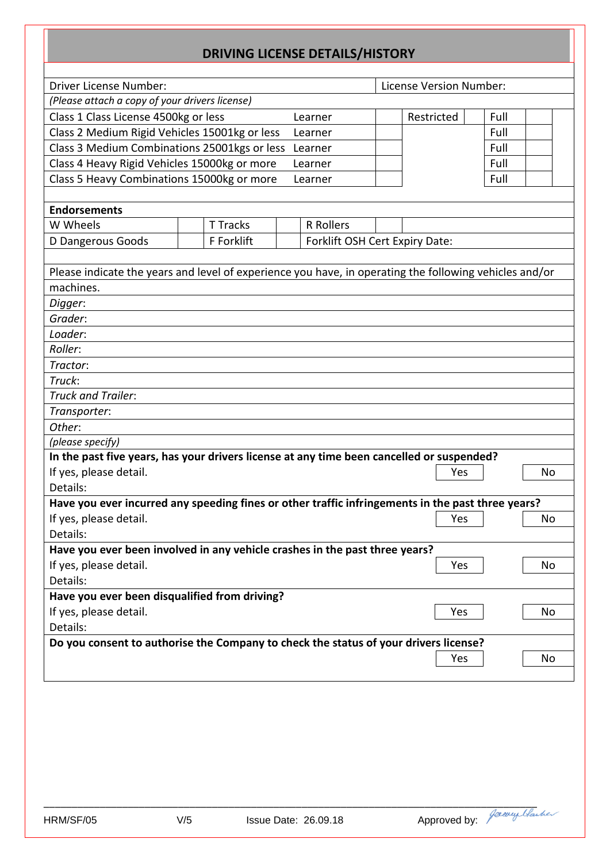# **DRIVING LICENSE DETAILS/HISTORY**

| Driver License Number:                                                                                 |  |                 |  |                                | License Version Number: |      |    |
|--------------------------------------------------------------------------------------------------------|--|-----------------|--|--------------------------------|-------------------------|------|----|
| (Please attach a copy of your drivers license)                                                         |  |                 |  |                                |                         |      |    |
| Class 1 Class License 4500kg or less                                                                   |  |                 |  | Learner                        | Restricted              | Full |    |
| Class 2 Medium Rigid Vehicles 15001kg or less                                                          |  |                 |  | Learner                        |                         | Full |    |
| Class 3 Medium Combinations 25001kgs or less                                                           |  |                 |  | Learner                        |                         | Full |    |
| Class 4 Heavy Rigid Vehicles 15000kg or more                                                           |  |                 |  | Learner                        |                         | Full |    |
| Class 5 Heavy Combinations 15000kg or more                                                             |  |                 |  | Learner                        |                         | Full |    |
|                                                                                                        |  |                 |  |                                |                         |      |    |
| <b>Endorsements</b>                                                                                    |  |                 |  |                                |                         |      |    |
| W Wheels                                                                                               |  | <b>T Tracks</b> |  | R Rollers                      |                         |      |    |
| D Dangerous Goods                                                                                      |  | F Forklift      |  | Forklift OSH Cert Expiry Date: |                         |      |    |
|                                                                                                        |  |                 |  |                                |                         |      |    |
| Please indicate the years and level of experience you have, in operating the following vehicles and/or |  |                 |  |                                |                         |      |    |
| machines.                                                                                              |  |                 |  |                                |                         |      |    |
| Digger:                                                                                                |  |                 |  |                                |                         |      |    |
| Grader:                                                                                                |  |                 |  |                                |                         |      |    |
| Loader:                                                                                                |  |                 |  |                                |                         |      |    |
| Roller:                                                                                                |  |                 |  |                                |                         |      |    |
| Tractor:                                                                                               |  |                 |  |                                |                         |      |    |
| Truck:                                                                                                 |  |                 |  |                                |                         |      |    |
| Truck and Trailer:                                                                                     |  |                 |  |                                |                         |      |    |
| Transporter:                                                                                           |  |                 |  |                                |                         |      |    |
| Other:                                                                                                 |  |                 |  |                                |                         |      |    |
| (please specify)                                                                                       |  |                 |  |                                |                         |      |    |
| In the past five years, has your drivers license at any time been cancelled or suspended?              |  |                 |  |                                |                         |      |    |
| If yes, please detail.                                                                                 |  |                 |  |                                | Yes                     |      | No |
| Details:                                                                                               |  |                 |  |                                |                         |      |    |
| Have you ever incurred any speeding fines or other traffic infringements in the past three years?      |  |                 |  |                                |                         |      |    |
| If yes, please detail.                                                                                 |  |                 |  |                                | Yes                     |      | No |
| Details:                                                                                               |  |                 |  |                                |                         |      |    |
| Have you ever been involved in any vehicle crashes in the past three years?                            |  |                 |  |                                |                         |      |    |
| If yes, please detail.                                                                                 |  |                 |  |                                | Yes                     |      | No |
| Details:                                                                                               |  |                 |  |                                |                         |      |    |
| Have you ever been disqualified from driving?                                                          |  |                 |  |                                |                         |      |    |
| If yes, please detail.<br>Yes<br>No                                                                    |  |                 |  |                                |                         |      |    |
| Details:                                                                                               |  |                 |  |                                |                         |      |    |
| Do you consent to authorise the Company to check the status of your drivers license?                   |  |                 |  |                                |                         |      |    |
|                                                                                                        |  |                 |  |                                | Yes                     |      | No |
|                                                                                                        |  |                 |  |                                |                         |      |    |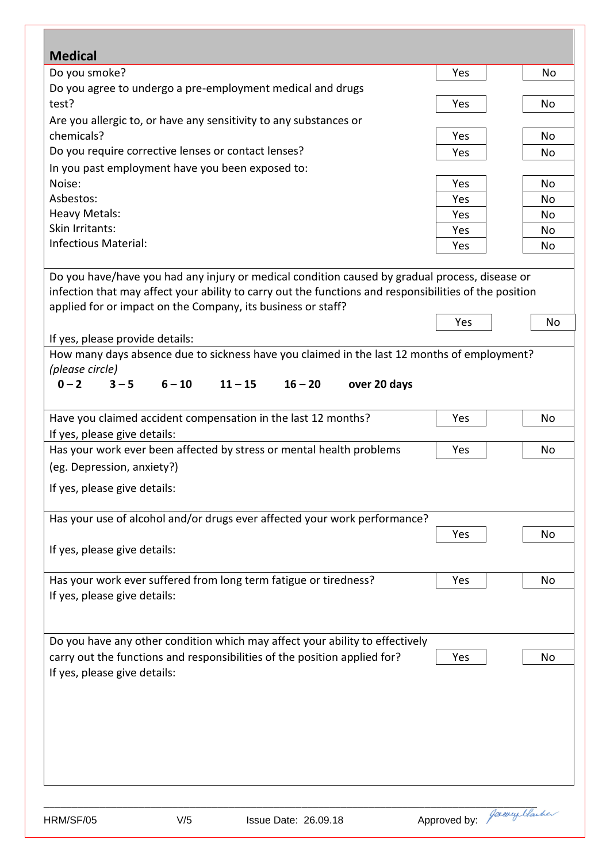| <b>Medical</b>                                      |          |                                                                                                        |              |                |
|-----------------------------------------------------|----------|--------------------------------------------------------------------------------------------------------|--------------|----------------|
| Do you smoke?                                       |          |                                                                                                        | Yes          | No             |
|                                                     |          | Do you agree to undergo a pre-employment medical and drugs                                             |              |                |
| test?                                               |          |                                                                                                        | Yes          | No             |
|                                                     |          | Are you allergic to, or have any sensitivity to any substances or                                      |              |                |
| chemicals?                                          |          |                                                                                                        | Yes          | No             |
| Do you require corrective lenses or contact lenses? |          |                                                                                                        | Yes          | No             |
| In you past employment have you been exposed to:    |          |                                                                                                        |              |                |
| Noise:                                              |          |                                                                                                        | Yes          | No             |
| Asbestos:                                           |          |                                                                                                        | Yes          | No             |
| <b>Heavy Metals:</b>                                |          |                                                                                                        | Yes          | No             |
| Skin Irritants:                                     |          |                                                                                                        | Yes          | No             |
| <b>Infectious Material:</b>                         |          |                                                                                                        | Yes          | No             |
|                                                     |          |                                                                                                        |              |                |
|                                                     |          | Do you have/have you had any injury or medical condition caused by gradual process, disease or         |              |                |
|                                                     |          | infection that may affect your ability to carry out the functions and responsibilities of the position |              |                |
|                                                     |          | applied for or impact on the Company, its business or staff?                                           |              |                |
|                                                     |          |                                                                                                        | Yes          | No             |
| If yes, please provide details:                     |          |                                                                                                        |              |                |
|                                                     |          | How many days absence due to sickness have you claimed in the last 12 months of employment?            |              |                |
| (please circle)<br>$3 - 5$                          |          |                                                                                                        |              |                |
| $0 - 2$                                             | $6 - 10$ | $11 - 15$<br>$16 - 20$<br>over 20 days                                                                 |              |                |
|                                                     |          | Have you claimed accident compensation in the last 12 months?                                          | Yes          | No             |
| If yes, please give details:                        |          |                                                                                                        |              |                |
|                                                     |          | Has your work ever been affected by stress or mental health problems                                   | Yes          | No             |
| (eg. Depression, anxiety?)                          |          |                                                                                                        |              |                |
| If yes, please give details:                        |          |                                                                                                        |              |                |
|                                                     |          |                                                                                                        |              |                |
|                                                     |          | Has your use of alcohol and/or drugs ever affected your work performance?                              |              |                |
|                                                     |          |                                                                                                        | Yes          | No             |
| If yes, please give details:                        |          |                                                                                                        |              |                |
|                                                     |          |                                                                                                        |              |                |
|                                                     |          | Has your work ever suffered from long term fatigue or tiredness?                                       | Yes          | No             |
| If yes, please give details:                        |          |                                                                                                        |              |                |
|                                                     |          |                                                                                                        |              |                |
|                                                     |          |                                                                                                        |              |                |
|                                                     |          | Do you have any other condition which may affect your ability to effectively                           |              |                |
|                                                     |          | carry out the functions and responsibilities of the position applied for?                              | Yes          | No             |
| If yes, please give details:                        |          |                                                                                                        |              |                |
|                                                     |          |                                                                                                        |              |                |
|                                                     |          |                                                                                                        |              |                |
|                                                     |          |                                                                                                        |              |                |
|                                                     |          |                                                                                                        |              |                |
|                                                     |          |                                                                                                        |              |                |
|                                                     |          |                                                                                                        |              |                |
|                                                     |          |                                                                                                        |              |                |
|                                                     |          |                                                                                                        |              | Josephy Hauber |
| HRM/SF/05                                           | V/5      | <b>Issue Date: 26.09.18</b>                                                                            | Approved by: |                |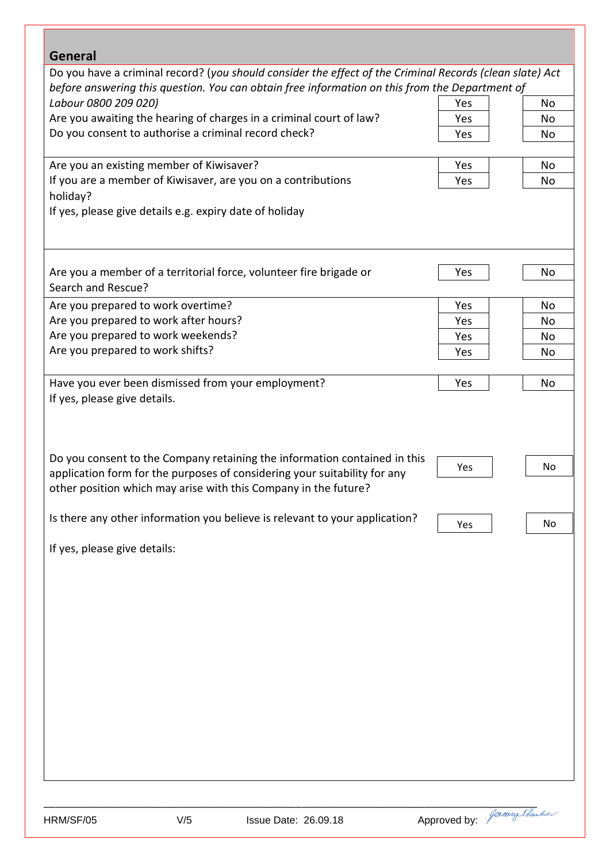| Do you have a criminal record? (you should consider the effect of the Criminal Records (clean slate) Act<br>before answering this question. You can obtain free information on this from the Department of<br>Labour 0800 209 020)<br>Yes<br>No<br>Are you awaiting the hearing of charges in a criminal court of law?<br>Yes<br>No<br>Do you consent to authorise a criminal record check?<br>Yes<br>No<br>Are you an existing member of Kiwisaver?<br>Yes<br>No<br>If you are a member of Kiwisaver, are you on a contributions<br>Yes<br>No<br>holiday?<br>Yes<br>No<br>Yes<br>No<br>Yes<br>No<br>Yes<br>No<br>Yes<br>No<br>Yes<br>No<br>No<br>Yes<br>No<br>Yes<br>Josevey Hawher<br>Approved by:<br>HRM/SF/05<br>V/5<br><b>Issue Date: 26.09.18</b> | <b>General</b>                                                                                                                                                                                                            |  |
|---------------------------------------------------------------------------------------------------------------------------------------------------------------------------------------------------------------------------------------------------------------------------------------------------------------------------------------------------------------------------------------------------------------------------------------------------------------------------------------------------------------------------------------------------------------------------------------------------------------------------------------------------------------------------------------------------------------------------------------------------------|---------------------------------------------------------------------------------------------------------------------------------------------------------------------------------------------------------------------------|--|
|                                                                                                                                                                                                                                                                                                                                                                                                                                                                                                                                                                                                                                                                                                                                                         |                                                                                                                                                                                                                           |  |
|                                                                                                                                                                                                                                                                                                                                                                                                                                                                                                                                                                                                                                                                                                                                                         |                                                                                                                                                                                                                           |  |
|                                                                                                                                                                                                                                                                                                                                                                                                                                                                                                                                                                                                                                                                                                                                                         |                                                                                                                                                                                                                           |  |
|                                                                                                                                                                                                                                                                                                                                                                                                                                                                                                                                                                                                                                                                                                                                                         |                                                                                                                                                                                                                           |  |
|                                                                                                                                                                                                                                                                                                                                                                                                                                                                                                                                                                                                                                                                                                                                                         |                                                                                                                                                                                                                           |  |
|                                                                                                                                                                                                                                                                                                                                                                                                                                                                                                                                                                                                                                                                                                                                                         |                                                                                                                                                                                                                           |  |
|                                                                                                                                                                                                                                                                                                                                                                                                                                                                                                                                                                                                                                                                                                                                                         |                                                                                                                                                                                                                           |  |
|                                                                                                                                                                                                                                                                                                                                                                                                                                                                                                                                                                                                                                                                                                                                                         |                                                                                                                                                                                                                           |  |
|                                                                                                                                                                                                                                                                                                                                                                                                                                                                                                                                                                                                                                                                                                                                                         |                                                                                                                                                                                                                           |  |
|                                                                                                                                                                                                                                                                                                                                                                                                                                                                                                                                                                                                                                                                                                                                                         | If yes, please give details e.g. expiry date of holiday                                                                                                                                                                   |  |
|                                                                                                                                                                                                                                                                                                                                                                                                                                                                                                                                                                                                                                                                                                                                                         |                                                                                                                                                                                                                           |  |
|                                                                                                                                                                                                                                                                                                                                                                                                                                                                                                                                                                                                                                                                                                                                                         | Are you a member of a territorial force, volunteer fire brigade or                                                                                                                                                        |  |
|                                                                                                                                                                                                                                                                                                                                                                                                                                                                                                                                                                                                                                                                                                                                                         | Search and Rescue?                                                                                                                                                                                                        |  |
|                                                                                                                                                                                                                                                                                                                                                                                                                                                                                                                                                                                                                                                                                                                                                         | Are you prepared to work overtime?                                                                                                                                                                                        |  |
|                                                                                                                                                                                                                                                                                                                                                                                                                                                                                                                                                                                                                                                                                                                                                         | Are you prepared to work after hours?                                                                                                                                                                                     |  |
|                                                                                                                                                                                                                                                                                                                                                                                                                                                                                                                                                                                                                                                                                                                                                         | Are you prepared to work weekends?                                                                                                                                                                                        |  |
|                                                                                                                                                                                                                                                                                                                                                                                                                                                                                                                                                                                                                                                                                                                                                         | Are you prepared to work shifts?                                                                                                                                                                                          |  |
|                                                                                                                                                                                                                                                                                                                                                                                                                                                                                                                                                                                                                                                                                                                                                         |                                                                                                                                                                                                                           |  |
|                                                                                                                                                                                                                                                                                                                                                                                                                                                                                                                                                                                                                                                                                                                                                         | Have you ever been dismissed from your employment?                                                                                                                                                                        |  |
|                                                                                                                                                                                                                                                                                                                                                                                                                                                                                                                                                                                                                                                                                                                                                         | If yes, please give details.                                                                                                                                                                                              |  |
|                                                                                                                                                                                                                                                                                                                                                                                                                                                                                                                                                                                                                                                                                                                                                         | Do you consent to the Company retaining the information contained in this<br>application form for the purposes of considering your suitability for any<br>other position which may arise with this Company in the future? |  |
|                                                                                                                                                                                                                                                                                                                                                                                                                                                                                                                                                                                                                                                                                                                                                         | Is there any other information you believe is relevant to your application?                                                                                                                                               |  |
|                                                                                                                                                                                                                                                                                                                                                                                                                                                                                                                                                                                                                                                                                                                                                         | If yes, please give details:                                                                                                                                                                                              |  |
|                                                                                                                                                                                                                                                                                                                                                                                                                                                                                                                                                                                                                                                                                                                                                         |                                                                                                                                                                                                                           |  |
|                                                                                                                                                                                                                                                                                                                                                                                                                                                                                                                                                                                                                                                                                                                                                         |                                                                                                                                                                                                                           |  |
|                                                                                                                                                                                                                                                                                                                                                                                                                                                                                                                                                                                                                                                                                                                                                         |                                                                                                                                                                                                                           |  |
|                                                                                                                                                                                                                                                                                                                                                                                                                                                                                                                                                                                                                                                                                                                                                         |                                                                                                                                                                                                                           |  |
|                                                                                                                                                                                                                                                                                                                                                                                                                                                                                                                                                                                                                                                                                                                                                         |                                                                                                                                                                                                                           |  |
|                                                                                                                                                                                                                                                                                                                                                                                                                                                                                                                                                                                                                                                                                                                                                         |                                                                                                                                                                                                                           |  |
|                                                                                                                                                                                                                                                                                                                                                                                                                                                                                                                                                                                                                                                                                                                                                         |                                                                                                                                                                                                                           |  |
|                                                                                                                                                                                                                                                                                                                                                                                                                                                                                                                                                                                                                                                                                                                                                         |                                                                                                                                                                                                                           |  |
|                                                                                                                                                                                                                                                                                                                                                                                                                                                                                                                                                                                                                                                                                                                                                         |                                                                                                                                                                                                                           |  |

г